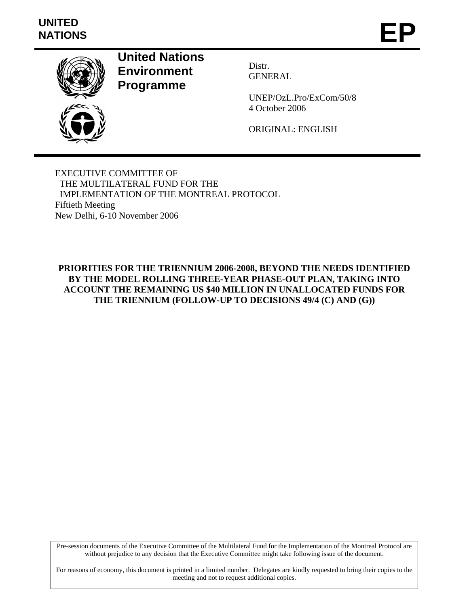# **UNITED**  UNITED<br>NATIONS **EP**



**United Nations Environment Programme** 

Distr. GENERAL

UNEP/OzL.Pro/ExCom/50/8 4 October 2006

ORIGINAL: ENGLISH

EXECUTIVE COMMITTEE OF THE MULTILATERAL FUND FOR THE IMPLEMENTATION OF THE MONTREAL PROTOCOL Fiftieth Meeting New Delhi, 6-10 November 2006

**PRIORITIES FOR THE TRIENNIUM 2006-2008, BEYOND THE NEEDS IDENTIFIED BY THE MODEL ROLLING THREE-YEAR PHASE-OUT PLAN, TAKING INTO ACCOUNT THE REMAINING US \$40 MILLION IN UNALLOCATED FUNDS FOR THE TRIENNIUM (FOLLOW-UP TO DECISIONS 49/4 (C) AND (G))** 

Pre-session documents of the Executive Committee of the Multilateral Fund for the Implementation of the Montreal Protocol are without prejudice to any decision that the Executive Committee might take following issue of the document.

For reasons of economy, this document is printed in a limited number. Delegates are kindly requested to bring their copies to the meeting and not to request additional copies.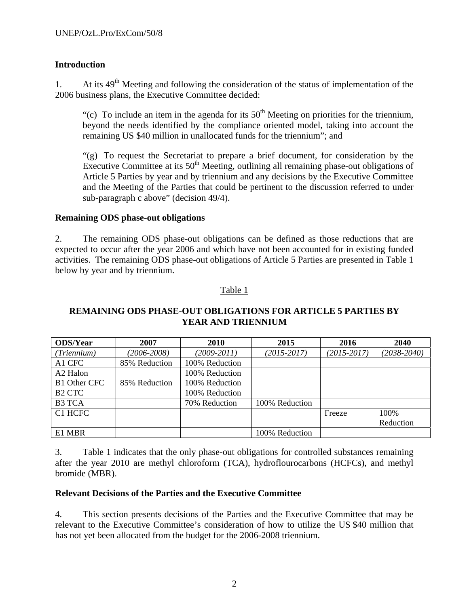# **Introduction**

1. At its  $49<sup>th</sup>$  Meeting and following the consideration of the status of implementation of the 2006 business plans, the Executive Committee decided:

"(c) To include an item in the agenda for its  $50<sup>th</sup>$  Meeting on priorities for the triennium, beyond the needs identified by the compliance oriented model, taking into account the remaining US \$40 million in unallocated funds for the triennium"; and

"(g) To request the Secretariat to prepare a brief document, for consideration by the Executive Committee at its  $50<sup>th</sup>$  Meeting, outlining all remaining phase-out obligations of Article 5 Parties by year and by triennium and any decisions by the Executive Committee and the Meeting of the Parties that could be pertinent to the discussion referred to under sub-paragraph c above" (decision 49/4).

## **Remaining ODS phase-out obligations**

2. The remaining ODS phase-out obligations can be defined as those reductions that are expected to occur after the year 2006 and which have not been accounted for in existing funded activities. The remaining ODS phase-out obligations of Article 5 Parties are presented in Table 1 below by year and by triennium.

## Table 1

# **REMAINING ODS PHASE-OUT OBLIGATIONS FOR ARTICLE 5 PARTIES BY YEAR AND TRIENNIUM**

| <b>ODS/Year</b>      | 2007            | 2010            | 2015            | 2016            | 2040            |
|----------------------|-----------------|-----------------|-----------------|-----------------|-----------------|
| (Triennium)          | $(2006 - 2008)$ | $(2009 - 2011)$ | $(2015 - 2017)$ | $(2015 - 2017)$ | $(2038 - 2040)$ |
| A1 CFC               | 85% Reduction   | 100% Reduction  |                 |                 |                 |
| A <sub>2</sub> Halon |                 | 100% Reduction  |                 |                 |                 |
| <b>B1 Other CFC</b>  | 85% Reduction   | 100% Reduction  |                 |                 |                 |
| B <sub>2</sub> CTC   |                 | 100% Reduction  |                 |                 |                 |
| <b>B3 TCA</b>        |                 | 70% Reduction   | 100% Reduction  |                 |                 |
| C1 HCFC              |                 |                 |                 | Freeze          | 100%            |
|                      |                 |                 |                 |                 | Reduction       |
| E1 MBR               |                 |                 | 100% Reduction  |                 |                 |

3. Table 1 indicates that the only phase-out obligations for controlled substances remaining after the year 2010 are methyl chloroform (TCA), hydroflourocarbons (HCFCs), and methyl bromide (MBR).

#### **Relevant Decisions of the Parties and the Executive Committee**

4. This section presents decisions of the Parties and the Executive Committee that may be relevant to the Executive Committee's consideration of how to utilize the US \$40 million that has not yet been allocated from the budget for the 2006-2008 triennium.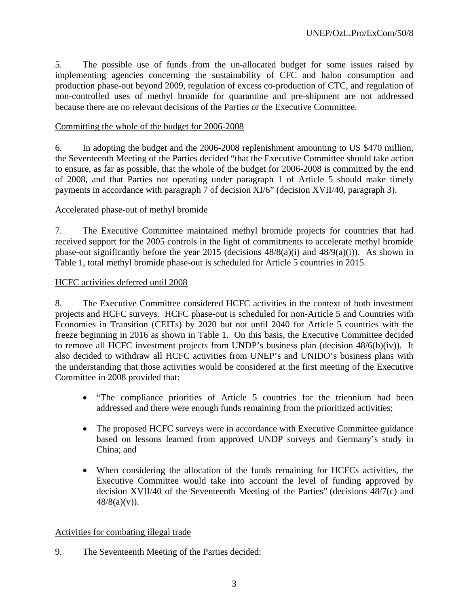5. The possible use of funds from the un-allocated budget for some issues raised by implementing agencies concerning the sustainability of CFC and halon consumption and production phase-out beyond 2009, regulation of excess co-production of CTC, and regulation of non-controlled uses of methyl bromide for quarantine and pre-shipment are not addressed because there are no relevant decisions of the Parties or the Executive Committee.

## Committing the whole of the budget for 2006-2008

6. In adopting the budget and the 2006-2008 replenishment amounting to US \$470 million, the Seventeenth Meeting of the Parties decided "that the Executive Committee should take action to ensure, as far as possible, that the whole of the budget for 2006-2008 is committed by the end of 2008, and that Parties not operating under paragraph 1 of Article 5 should make timely payments in accordance with paragraph 7 of decision XI/6" (decision XVII/40, paragraph 3).

## Accelerated phase-out of methyl bromide

7. The Executive Committee maintained methyl bromide projects for countries that had received support for the 2005 controls in the light of commitments to accelerate methyl bromide phase-out significantly before the year 2015 (decisions 48/8(a)(i) and 48/9(a)(i)). As shown in Table 1, total methyl bromide phase-out is scheduled for Article 5 countries in 2015.

#### HCFC activities deferred until 2008

8. The Executive Committee considered HCFC activities in the context of both investment projects and HCFC surveys. HCFC phase-out is scheduled for non-Article 5 and Countries with Economies in Transition (CEITs) by 2020 but not until 2040 for Article 5 countries with the freeze beginning in 2016 as shown in Table 1. On this basis, the Executive Committee decided to remove all HCFC investment projects from UNDP's business plan (decision 48/6(b)(iv)). It also decided to withdraw all HCFC activities from UNEP's and UNIDO's business plans with the understanding that those activities would be considered at the first meeting of the Executive Committee in 2008 provided that:

- "The compliance priorities of Article 5 countries for the triennium had been addressed and there were enough funds remaining from the prioritized activities;
- The proposed HCFC surveys were in accordance with Executive Committee guidance based on lessons learned from approved UNDP surveys and Germany's study in China; and
- When considering the allocation of the funds remaining for HCFCs activities, the Executive Committee would take into account the level of funding approved by decision XVII/40 of the Seventeenth Meeting of the Parties" (decisions 48/7(c) and  $48/8(a)(v)$ ).

#### Activities for combating illegal trade

9. The Seventeenth Meeting of the Parties decided: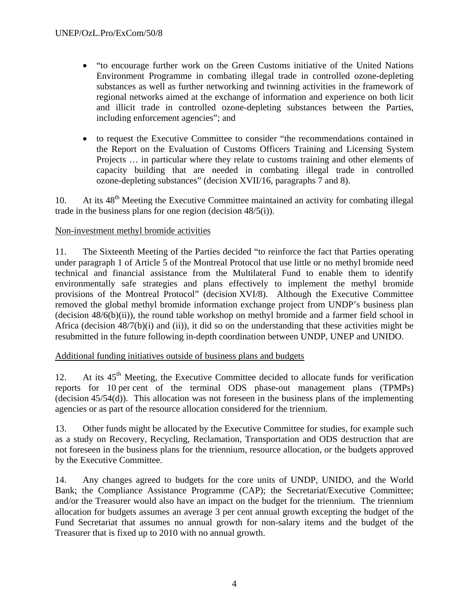- "to encourage further work on the Green Customs initiative of the United Nations Environment Programme in combating illegal trade in controlled ozone-depleting substances as well as further networking and twinning activities in the framework of regional networks aimed at the exchange of information and experience on both licit and illicit trade in controlled ozone-depleting substances between the Parties, including enforcement agencies"; and
- to request the Executive Committee to consider "the recommendations contained in the Report on the Evaluation of Customs Officers Training and Licensing System Projects … in particular where they relate to customs training and other elements of capacity building that are needed in combating illegal trade in controlled ozone-depleting substances" (decision XVII/16, paragraphs 7 and 8).

10. At its  $48<sup>th</sup>$  Meeting the Executive Committee maintained an activity for combating illegal trade in the business plans for one region (decision 48/5(i)).

# Non-investment methyl bromide activities

11. The Sixteenth Meeting of the Parties decided "to reinforce the fact that Parties operating under paragraph 1 of Article 5 of the Montreal Protocol that use little or no methyl bromide need technical and financial assistance from the Multilateral Fund to enable them to identify environmentally safe strategies and plans effectively to implement the methyl bromide provisions of the Montreal Protocol" (decision XVI/8). Although the Executive Committee removed the global methyl bromide information exchange project from UNDP's business plan (decision 48/6(b)(ii)), the round table workshop on methyl bromide and a farmer field school in Africa (decision 48/7(b)(i) and (ii)), it did so on the understanding that these activities might be resubmitted in the future following in-depth coordination between UNDP, UNEP and UNIDO.

# Additional funding initiatives outside of business plans and budgets

12. At its  $45<sup>th</sup>$  Meeting, the Executive Committee decided to allocate funds for verification reports for 10 per cent of the terminal ODS phase-out management plans (TPMPs) (decision  $45/54(d)$ ). This allocation was not foreseen in the business plans of the implementing agencies or as part of the resource allocation considered for the triennium.

13. Other funds might be allocated by the Executive Committee for studies, for example such as a study on Recovery, Recycling, Reclamation, Transportation and ODS destruction that are not foreseen in the business plans for the triennium, resource allocation, or the budgets approved by the Executive Committee.

14. Any changes agreed to budgets for the core units of UNDP, UNIDO, and the World Bank; the Compliance Assistance Programme (CAP); the Secretariat/Executive Committee; and/or the Treasurer would also have an impact on the budget for the triennium. The triennium allocation for budgets assumes an average 3 per cent annual growth excepting the budget of the Fund Secretariat that assumes no annual growth for non-salary items and the budget of the Treasurer that is fixed up to 2010 with no annual growth.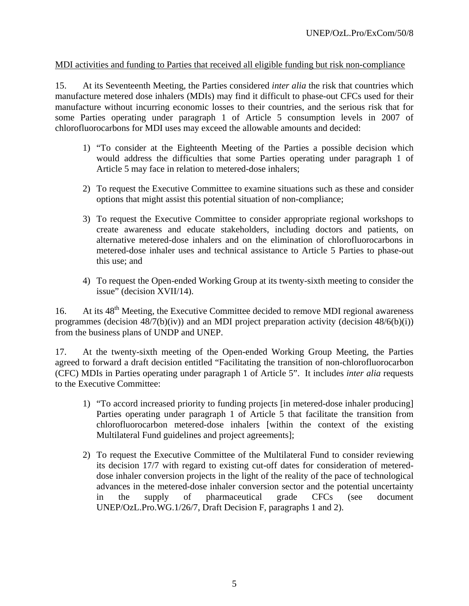# MDI activities and funding to Parties that received all eligible funding but risk non-compliance

15. At its Seventeenth Meeting, the Parties considered *inter alia* the risk that countries which manufacture metered dose inhalers (MDIs) may find it difficult to phase-out CFCs used for their manufacture without incurring economic losses to their countries, and the serious risk that for some Parties operating under paragraph 1 of Article 5 consumption levels in 2007 of chlorofluorocarbons for MDI uses may exceed the allowable amounts and decided:

- 1) "To consider at the Eighteenth Meeting of the Parties a possible decision which would address the difficulties that some Parties operating under paragraph 1 of Article 5 may face in relation to metered-dose inhalers;
- 2) To request the Executive Committee to examine situations such as these and consider options that might assist this potential situation of non-compliance;
- 3) To request the Executive Committee to consider appropriate regional workshops to create awareness and educate stakeholders, including doctors and patients, on alternative metered-dose inhalers and on the elimination of chlorofluorocarbons in metered-dose inhaler uses and technical assistance to Article 5 Parties to phase-out this use; and
- 4) To request the Open-ended Working Group at its twenty-sixth meeting to consider the issue" (decision XVII/14).

16. At its 48<sup>th</sup> Meeting, the Executive Committee decided to remove MDI regional awareness programmes (decision  $48/7(b)(iv)$ ) and an MDI project preparation activity (decision  $48/6(b)(i)$ ) from the business plans of UNDP and UNEP.

17. At the twenty-sixth meeting of the Open-ended Working Group Meeting, the Parties agreed to forward a draft decision entitled "Facilitating the transition of non-chlorofluorocarbon (CFC) MDIs in Parties operating under paragraph 1 of Article 5". It includes *inter alia* requests to the Executive Committee:

- 1) "To accord increased priority to funding projects [in metered-dose inhaler producing] Parties operating under paragraph 1 of Article 5 that facilitate the transition from chlorofluorocarbon metered-dose inhalers [within the context of the existing Multilateral Fund guidelines and project agreements];
- 2) To request the Executive Committee of the Multilateral Fund to consider reviewing its decision 17/7 with regard to existing cut-off dates for consideration of metereddose inhaler conversion projects in the light of the reality of the pace of technological advances in the metered-dose inhaler conversion sector and the potential uncertainty in the supply of pharmaceutical grade CFCs (see document UNEP/OzL.Pro.WG.1/26/7, Draft Decision F, paragraphs 1 and 2).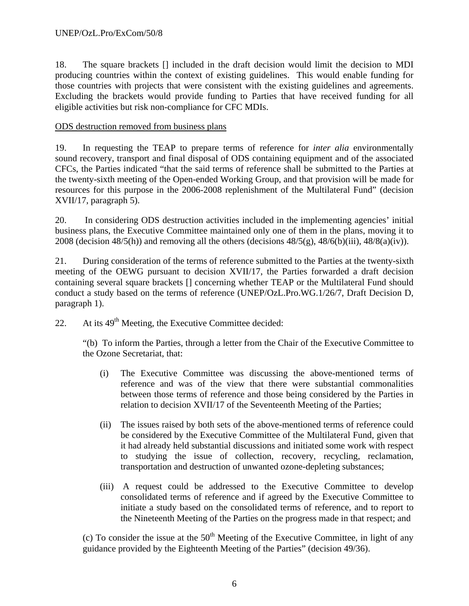18. The square brackets [] included in the draft decision would limit the decision to MDI producing countries within the context of existing guidelines. This would enable funding for those countries with projects that were consistent with the existing guidelines and agreements. Excluding the brackets would provide funding to Parties that have received funding for all eligible activities but risk non-compliance for CFC MDIs.

## ODS destruction removed from business plans

19. In requesting the TEAP to prepare terms of reference for *inter alia* environmentally sound recovery, transport and final disposal of ODS containing equipment and of the associated CFCs, the Parties indicated "that the said terms of reference shall be submitted to the Parties at the twenty-sixth meeting of the Open-ended Working Group, and that provision will be made for resources for this purpose in the 2006-2008 replenishment of the Multilateral Fund" (decision XVII/17, paragraph 5).

20. In considering ODS destruction activities included in the implementing agencies' initial business plans, the Executive Committee maintained only one of them in the plans, moving it to 2008 (decision  $48/5(h)$ ) and removing all the others (decisions  $48/5(g)$ ,  $48/6(b)(iii)$ ,  $48/8(a)(iv)$ ).

21. During consideration of the terms of reference submitted to the Parties at the twenty-sixth meeting of the OEWG pursuant to decision XVII/17, the Parties forwarded a draft decision containing several square brackets [] concerning whether TEAP or the Multilateral Fund should conduct a study based on the terms of reference (UNEP/OzL.Pro.WG.1/26/7, Draft Decision D, paragraph 1).

22. At its  $49<sup>th</sup>$  Meeting, the Executive Committee decided:

"(b) To inform the Parties, through a letter from the Chair of the Executive Committee to the Ozone Secretariat, that:

- (i) The Executive Committee was discussing the above-mentioned terms of reference and was of the view that there were substantial commonalities between those terms of reference and those being considered by the Parties in relation to decision XVII/17 of the Seventeenth Meeting of the Parties;
- (ii) The issues raised by both sets of the above-mentioned terms of reference could be considered by the Executive Committee of the Multilateral Fund, given that it had already held substantial discussions and initiated some work with respect to studying the issue of collection, recovery, recycling, reclamation, transportation and destruction of unwanted ozone-depleting substances;
- (iii) A request could be addressed to the Executive Committee to develop consolidated terms of reference and if agreed by the Executive Committee to initiate a study based on the consolidated terms of reference, and to report to the Nineteenth Meeting of the Parties on the progress made in that respect; and

(c) To consider the issue at the  $50<sup>th</sup>$  Meeting of the Executive Committee, in light of any guidance provided by the Eighteenth Meeting of the Parties" (decision 49/36).